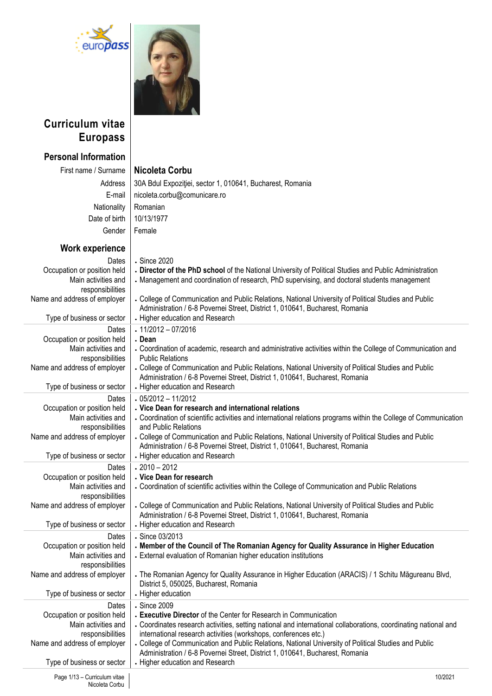



## **Curriculum vitae Europass**

# **Personal Information**

| Nicoleta Corb |  |  |
|---------------|--|--|
|               |  |  |

| First name / Surname                               | Nicoleta Corbu                                                                                                                                                                       |
|----------------------------------------------------|--------------------------------------------------------------------------------------------------------------------------------------------------------------------------------------|
| Address                                            | 30A Bdul Expoziției, sector 1, 010641, Bucharest, Romania                                                                                                                            |
| E-mail                                             | nicoleta.corbu@comunicare.ro                                                                                                                                                         |
| Nationality                                        | Romanian                                                                                                                                                                             |
| Date of birth                                      | 10/13/1977                                                                                                                                                                           |
| Gender                                             | Female                                                                                                                                                                               |
|                                                    |                                                                                                                                                                                      |
| Work experience                                    |                                                                                                                                                                                      |
| Dates<br>Occupation or position held               | Since 2020<br>. Director of the PhD school of the National University of Political Studies and Public Administration                                                                 |
| Main activities and                                | • Management and coordination of research, PhD supervising, and doctoral students management                                                                                         |
| responsibilities                                   |                                                                                                                                                                                      |
| Name and address of employer                       | . College of Communication and Public Relations, National University of Political Studies and Public<br>Administration / 6-8 Povernei Street, District 1, 010641, Bucharest, Romania |
| Type of business or sector                         | • Higher education and Research                                                                                                                                                      |
| Dates                                              | $.11/2012 - 07/2016$<br>. Dean                                                                                                                                                       |
| Occupation or position held<br>Main activities and | . Coordination of academic, research and administrative activities within the College of Communication and                                                                           |
| responsibilities                                   | <b>Public Relations</b>                                                                                                                                                              |
| Name and address of employer                       | . College of Communication and Public Relations, National University of Political Studies and Public                                                                                 |
|                                                    | Administration / 6-8 Povernei Street, District 1, 010641, Bucharest, Romania                                                                                                         |
| Type of business or sector                         | • Higher education and Research                                                                                                                                                      |
| Dates<br>Occupation or position held               | $.05/2012 - 11/2012$<br>. Vice Dean for research and international relations                                                                                                         |
| Main activities and                                | . Coordination of scientific activities and international relations programs within the College of Communication                                                                     |
| responsibilities                                   | and Public Relations                                                                                                                                                                 |
| Name and address of employer                       | . College of Communication and Public Relations, National University of Political Studies and Public<br>Administration / 6-8 Povernei Street, District 1, 010641, Bucharest, Romania |
| Type of business or sector                         | • Higher education and Research                                                                                                                                                      |
| Dates                                              | $.2010 - 2012$                                                                                                                                                                       |
| Occupation or position held<br>Main activities and | . Vice Dean for research<br>• Coordination of scientific activities within the College of Communication and Public Relations                                                         |
| responsibilities                                   |                                                                                                                                                                                      |
| Name and address of employer                       | . College of Communication and Public Relations, National University of Political Studies and Public                                                                                 |
|                                                    | Administration / 6-8 Povernei Street, District 1, 010641, Bucharest, Romania                                                                                                         |
| Type of business or sector                         | • Higher education and Research                                                                                                                                                      |
| Dates<br>Occupation or position held               | Since 03/2013<br>. Member of the Council of The Romanian Agency for Quality Assurance in Higher Education                                                                            |
| Main activities and                                | - External evaluation of Romanian higher education institutions                                                                                                                      |
| responsibilities                                   |                                                                                                                                                                                      |
| Name and address of employer                       | . The Romanian Agency for Quality Assurance in Higher Education (ARACIS) / 1 Schitu Măgureanu Blvd,                                                                                  |
|                                                    | District 5, 050025, Bucharest, Romania<br>- Higher education                                                                                                                         |
| Type of business or sector                         | Since 2009                                                                                                                                                                           |
| Dates<br>Occupation or position held               | . Executive Director of the Center for Research in Communication                                                                                                                     |
| Main activities and                                | . Coordinates research activities, setting national and international collaborations, coordinating national and                                                                      |
| responsibilities                                   | international research activities (workshops, conferences etc.)                                                                                                                      |
| Name and address of employer                       | . College of Communication and Public Relations, National University of Political Studies and Public                                                                                 |
| Type of business or sector                         | Administration / 6-8 Povernei Street, District 1, 010641, Bucharest, Romania<br>• Higher education and Research                                                                      |
|                                                    |                                                                                                                                                                                      |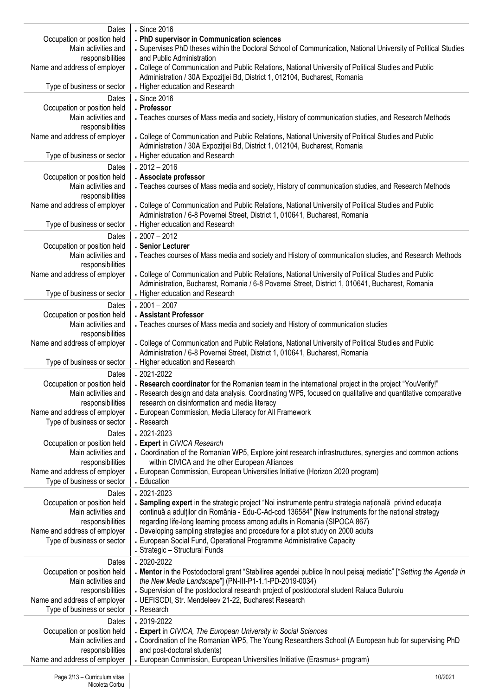| Dates<br>Occupation or position held<br>Main activities and<br>responsibilities<br>Name and address of employer | Since 2016<br>. PhD supervisor in Communication sciences<br>- Supervises PhD theses within the Doctoral School of Communication, National University of Political Studies<br>and Public Administration<br>. College of Communication and Public Relations, National University of Political Studies and Public<br>Administration / 30A Expoziției Bd, District 1, 012104, Bucharest, Romania |
|-----------------------------------------------------------------------------------------------------------------|----------------------------------------------------------------------------------------------------------------------------------------------------------------------------------------------------------------------------------------------------------------------------------------------------------------------------------------------------------------------------------------------|
| Type of business or sector                                                                                      | • Higher education and Research                                                                                                                                                                                                                                                                                                                                                              |
| Dates<br>Occupation or position held<br>Main activities and<br>responsibilities                                 | . Since 2016<br>. Professor<br>. Teaches courses of Mass media and society, History of communication studies, and Research Methods                                                                                                                                                                                                                                                           |
| Name and address of employer<br>Type of business or sector                                                      | . College of Communication and Public Relations, National University of Political Studies and Public<br>Administration / 30A Expoziției Bd, District 1, 012104, Bucharest, Romania<br>• Higher education and Research                                                                                                                                                                        |
| Dates<br>Occupation or position held<br>Main activities and<br>responsibilities                                 | $.2012 - 2016$<br>. Associate professor<br>- Teaches courses of Mass media and society, History of communication studies, and Research Methods                                                                                                                                                                                                                                               |
| Name and address of employer<br>Type of business or sector                                                      | . College of Communication and Public Relations, National University of Political Studies and Public<br>Administration / 6-8 Povernei Street, District 1, 010641, Bucharest, Romania<br>• Higher education and Research                                                                                                                                                                      |
| Dates                                                                                                           | $.2007 - 2012$                                                                                                                                                                                                                                                                                                                                                                               |
| Occupation or position held<br>Main activities and<br>responsibilities                                          | . Senior Lecturer<br>- Teaches courses of Mass media and society and History of communication studies, and Research Methods                                                                                                                                                                                                                                                                  |
| Name and address of employer<br>Type of business or sector                                                      | . College of Communication and Public Relations, National University of Political Studies and Public<br>Administration, Bucharest, Romania / 6-8 Povernei Street, District 1, 010641, Bucharest, Romania<br>• Higher education and Research                                                                                                                                                  |
| Dates                                                                                                           | $.2001 - 2007$                                                                                                                                                                                                                                                                                                                                                                               |
| Occupation or position held<br>Main activities and<br>responsibilities                                          | . Assistant Professor<br>- Teaches courses of Mass media and society and History of communication studies                                                                                                                                                                                                                                                                                    |
| Name and address of employer<br>Type of business or sector                                                      | . College of Communication and Public Relations, National University of Political Studies and Public<br>Administration / 6-8 Povernei Street, District 1, 010641, Bucharest, Romania<br>• Higher education and Research                                                                                                                                                                      |
| Dates                                                                                                           | $.2021 - 2022$                                                                                                                                                                                                                                                                                                                                                                               |
| Occupation or position held<br>Main activities and<br>responsibilities                                          | . Research coordinator for the Romanian team in the international project in the project "YouVerify!"<br>. Research design and data analysis. Coordinating WP5, focused on qualitative and quantitative comparative<br>research on disinformation and media literacy                                                                                                                         |
| Name and address of employer<br>Type of business or sector                                                      | - European Commission, Media Literacy for All Framework<br>. Research                                                                                                                                                                                                                                                                                                                        |
| Dates<br>Occupation or position held<br>Main activities and<br>responsibilities                                 | $.2021 - 2023$<br>. Expert in CIVICA Research<br>• Coordination of the Romanian WP5, Explore joint research infrastructures, synergies and common actions<br>within CIVICA and the other European Alliances                                                                                                                                                                                  |
| Name and address of employer<br>Type of business or sector                                                      | - European Commission, European Universities Initiative (Horizon 2020 program)<br>• Education                                                                                                                                                                                                                                                                                                |
| Dates<br>Occupation or position held<br>Main activities and<br>responsibilities                                 | $.2021 - 2023$<br>. Sampling expert in the strategic project "Noi instrumente pentru strategia națională privind educația<br>continuă a adulților din România - Edu-C-Ad-cod 136584" [New Instruments for the national strategy<br>regarding life-long learning process among adults in Romania (SIPOCA 867)                                                                                 |
| Name and address of employer<br>Type of business or sector                                                      | . Developing sampling strategies and procedure for a pilot study on 2000 adults<br>- European Social Fund, Operational Programme Administrative Capacity<br>- Strategic - Structural Funds                                                                                                                                                                                                   |
| Dates<br>Occupation or position held<br>Main activities and<br>responsibilities<br>Name and address of employer | $.2020 - 2022$<br>. Mentor in the Postodoctoral grant "Stabilirea agendei publice în noul peisaj mediatic" ["Setting the Agenda in<br>the New Media Landscape"] (PN-III-P1-1.1-PD-2019-0034)<br>. Supervision of the postdoctoral research project of postdoctoral student Raluca Buturoiu<br>• UEFISCDI, Str. Mendeleev 21-22, Bucharest Research                                           |
| Type of business or sector                                                                                      | . Research                                                                                                                                                                                                                                                                                                                                                                                   |
| Dates<br>Occupation or position held<br>Main activities and<br>responsibilities                                 | $.2019 - 2022$<br>. Expert in CIVICA, The European University in Social Sciences<br>. Coordination of the Romanian WP5, The Young Researchers School (A European hub for supervising PhD<br>and post-doctoral students)                                                                                                                                                                      |
| Name and address of employer                                                                                    | - European Commission, European Universities Initiative (Erasmus+ program)                                                                                                                                                                                                                                                                                                                   |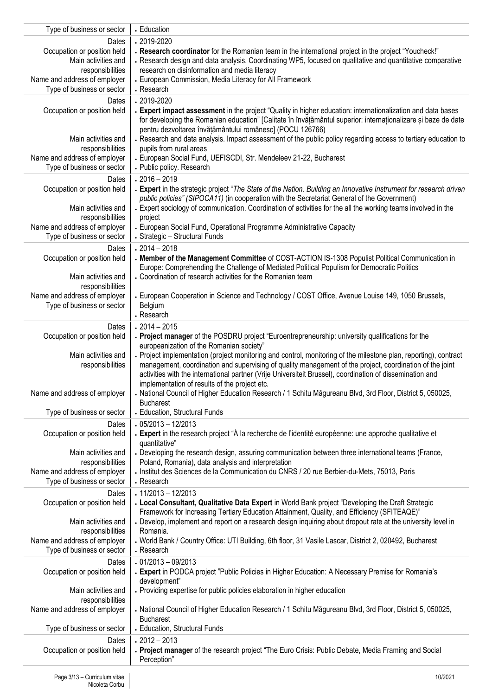| Type of business or sector                                 | - Education                                                                                                                                                                                                                  |
|------------------------------------------------------------|------------------------------------------------------------------------------------------------------------------------------------------------------------------------------------------------------------------------------|
| Dates                                                      | $.2019 - 2020$                                                                                                                                                                                                               |
| Occupation or position held                                | . Research coordinator for the Romanian team in the international project in the project "Youcheck!"                                                                                                                         |
| Main activities and<br>responsibilities                    | . Research design and data analysis. Coordinating WP5, focused on qualitative and quantitative comparative<br>research on disinformation and media literacy                                                                  |
| Name and address of employer                               | - European Commission, Media Literacy for All Framework                                                                                                                                                                      |
| Type of business or sector                                 | . Research                                                                                                                                                                                                                   |
| Dates                                                      | $.2019 - 2020$                                                                                                                                                                                                               |
| Occupation or position held                                | . Expert impact assessment in the project "Quality in higher education: internationalization and data bases<br>for developing the Romanian education" [Calitate în învățământul superior: internaționalizare și baze de date |
|                                                            | pentru dezvoltarea învățământului românesc] (POCU 126766)                                                                                                                                                                    |
| Main activities and                                        | . Research and data analysis. Impact assessment of the public policy regarding access to tertiary education to                                                                                                               |
| responsibilities<br>Name and address of employer           | pupils from rural areas<br>- European Social Fund, UEFISCDI, Str. Mendeleev 21-22, Bucharest                                                                                                                                 |
| Type of business or sector                                 | . Public policy. Research                                                                                                                                                                                                    |
| Dates                                                      | $.2016 - 2019$                                                                                                                                                                                                               |
| Occupation or position held                                | • Expert in the strategic project "The State of the Nation. Building an Innovative Instrument for research driven                                                                                                            |
|                                                            | public policies" (SIPOCA11) (in cooperation with the Secretariat General of the Government)                                                                                                                                  |
| Main activities and<br>responsibilities                    | - Expert sociology of communication. Coordination of activities for the all the working teams involved in the<br>project                                                                                                     |
| Name and address of employer                               | - European Social Fund, Operational Programme Administrative Capacity                                                                                                                                                        |
| Type of business or sector                                 | - Strategic - Structural Funds                                                                                                                                                                                               |
| Dates                                                      | $.2014 - 2018$                                                                                                                                                                                                               |
| Occupation or position held                                | . Member of the Management Committee of COST-ACTION IS-1308 Populist Political Communication in<br>Europe: Comprehending the Challenge of Mediated Political Populism for Democratic Politics                                |
| Main activities and                                        | • Coordination of research activities for the Romanian team                                                                                                                                                                  |
| responsibilities                                           |                                                                                                                                                                                                                              |
| Name and address of employer<br>Type of business or sector | • European Cooperation in Science and Technology / COST Office, Avenue Louise 149, 1050 Brussels,<br>Belgium                                                                                                                 |
|                                                            | . Research                                                                                                                                                                                                                   |
| Dates                                                      | $.2014 - 2015$                                                                                                                                                                                                               |
| Occupation or position held                                | . Project manager of the POSDRU project "Euroentrepreneurship: university qualifications for the                                                                                                                             |
| Main activities and                                        | europeanization of the Romanian society"<br>- Project implementation (project monitoring and control, monitoring of the milestone plan, reporting), contract                                                                 |
| responsibilities                                           | management, coordination and supervising of quality management of the project, coordination of the joint                                                                                                                     |
|                                                            | activities with the international partner (Vrije Universiteit Brussel), coordination of dissemination and                                                                                                                    |
| Name and address of employer                               | implementation of results of the project etc.<br>National Council of Higher Education Research / 1 Schitu Măgureanu Blvd, 3rd Floor, District 5, 050025,                                                                     |
|                                                            | <b>Bucharest</b>                                                                                                                                                                                                             |
| Type of business or sector                                 | - Education, Structural Funds                                                                                                                                                                                                |
| Dates                                                      | $.05/2013 - 12/2013$                                                                                                                                                                                                         |
| Occupation or position held                                | • Expert in the research project "À la recherche de l'identité européenne: une approche qualitative et<br>quantitative"                                                                                                      |
| Main activities and                                        | . Developing the research design, assuring communication between three international teams (France,                                                                                                                          |
| responsibilities                                           | Poland, Romania), data analysis and interpretation                                                                                                                                                                           |
| Name and address of employer<br>Type of business or sector | - Institut des Sciences de la Communication du CNRS / 20 rue Berbier-du-Mets, 75013, Paris<br>. Research                                                                                                                     |
| Dates                                                      | $.11/2013 - 12/2013$                                                                                                                                                                                                         |
| Occupation or position held                                | . Local Consultant, Qualitative Data Expert in World Bank project "Developing the Draft Strategic                                                                                                                            |
| Main activities and                                        | Framework for Increasing Tertiary Education Attainment, Quality, and Efficiency (SFITEAQE)"<br>. Develop, implement and report on a research design inquiring about dropout rate at the university level in                  |
| responsibilities                                           | Romania.                                                                                                                                                                                                                     |
| Name and address of employer                               | . World Bank / Country Office: UTI Building, 6th floor, 31 Vasile Lascar, District 2, 020492, Bucharest                                                                                                                      |
| Type of business or sector                                 | . Research                                                                                                                                                                                                                   |
| Dates<br>Occupation or position held                       | $.01/2013 - 09/2013$<br>- Expert in PODCA project "Public Policies in Higher Education: A Necessary Premise for Romania's                                                                                                    |
|                                                            | development"                                                                                                                                                                                                                 |
| Main activities and                                        | . Providing expertise for public policies elaboration in higher education                                                                                                                                                    |
| responsibilities<br>Name and address of employer           | - National Council of Higher Education Research / 1 Schitu Măgureanu Blvd, 3rd Floor, District 5, 050025,                                                                                                                    |
|                                                            | <b>Bucharest</b>                                                                                                                                                                                                             |
| Type of business or sector                                 | - Education, Structural Funds                                                                                                                                                                                                |
| Dates                                                      | $.2012 - 2013$                                                                                                                                                                                                               |
| Occupation or position held                                | . Project manager of the research project "The Euro Crisis: Public Debate, Media Framing and Social<br>Perception"                                                                                                           |
|                                                            |                                                                                                                                                                                                                              |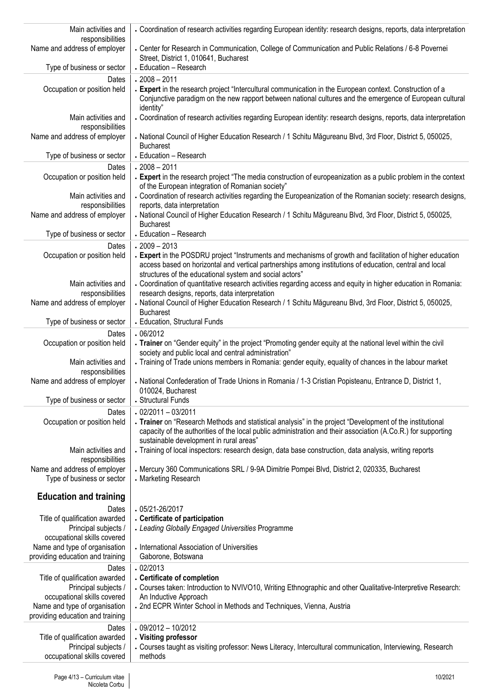| Main activities and<br>responsibilities                           | • Coordination of research activities regarding European identity: research designs, reports, data interpretation                                                |  |  |
|-------------------------------------------------------------------|------------------------------------------------------------------------------------------------------------------------------------------------------------------|--|--|
| Name and address of employer                                      | . Center for Research in Communication, College of Communication and Public Relations / 6-8 Povernei                                                             |  |  |
|                                                                   | Street, District 1, 010641, Bucharest                                                                                                                            |  |  |
| Type of business or sector                                        | - Education - Research                                                                                                                                           |  |  |
| Dates<br>Occupation or position held                              | $.2008 - 2011$<br>. Expert in the research project "Intercultural communication in the European context. Construction of a                                       |  |  |
|                                                                   | Conjunctive paradigm on the new rapport between national cultures and the emergence of European cultural                                                         |  |  |
|                                                                   | identity"                                                                                                                                                        |  |  |
| Main activities and<br>responsibilities                           | . Coordination of research activities regarding European identity: research designs, reports, data interpretation                                                |  |  |
| Name and address of employer                                      | - National Council of Higher Education Research / 1 Schitu Măgureanu Blvd, 3rd Floor, District 5, 050025,                                                        |  |  |
|                                                                   | <b>Bucharest</b>                                                                                                                                                 |  |  |
| Type of business or sector                                        | - Education - Research                                                                                                                                           |  |  |
| Dates<br>Occupation or position held                              | $.2008 - 2011$<br>. Expert in the research project "The media construction of europeanization as a public problem in the context                                 |  |  |
|                                                                   | of the European integration of Romanian society"                                                                                                                 |  |  |
| Main activities and                                               | . Coordination of research activities regarding the Europeanization of the Romanian society: research designs,                                                   |  |  |
| responsibilities<br>Name and address of employer                  | reports, data interpretation<br>- National Council of Higher Education Research / 1 Schitu Măgureanu Blvd, 3rd Floor, District 5, 050025,                        |  |  |
|                                                                   | <b>Bucharest</b>                                                                                                                                                 |  |  |
| Type of business or sector                                        | - Education - Research                                                                                                                                           |  |  |
| Dates<br>Occupation or position held                              | $.2009 - 2013$<br>. Expert in the POSDRU project "Instruments and mechanisms of growth and facilitation of higher education                                      |  |  |
|                                                                   | access based on horizontal and vertical partnerships among institutions of education, central and local                                                          |  |  |
|                                                                   | structures of the educational system and social actors"                                                                                                          |  |  |
| Main activities and<br>responsibilities                           | . Coordination of quantitative research activities regarding access and equity in higher education in Romania:<br>research designs, reports, data interpretation |  |  |
| Name and address of employer                                      | - National Council of Higher Education Research / 1 Schitu Măgureanu Blvd, 3rd Floor, District 5, 050025,                                                        |  |  |
|                                                                   | <b>Bucharest</b>                                                                                                                                                 |  |  |
| Type of business or sector<br>Dates                               | - Education, Structural Funds<br>.06/2012                                                                                                                        |  |  |
| Occupation or position held                                       | . Trainer on "Gender equity" in the project "Promoting gender equity at the national level within the civil                                                      |  |  |
|                                                                   | society and public local and central administration"                                                                                                             |  |  |
| Main activities and<br>responsibilities                           | . Training of Trade unions members in Romania: gender equity, equality of chances in the labour market                                                           |  |  |
| Name and address of employer                                      | . National Confederation of Trade Unions in Romania / 1-3 Cristian Popisteanu, Entrance D, District 1,                                                           |  |  |
| Type of business or sector                                        | 010024, Bucharest<br>• Structural Funds                                                                                                                          |  |  |
| Dates                                                             | $.02/2011 - 03/2011$                                                                                                                                             |  |  |
| Occupation or position held                                       | . Trainer on "Research Methods and statistical analysis" in the project "Development of the institutional                                                        |  |  |
|                                                                   | capacity of the authorities of the local public administration and their association (A.Co.R.) for supporting                                                    |  |  |
| Main activities and                                               | sustainable development in rural areas"<br>Training of local inspectors: research design, data base construction, data analysis, writing reports                 |  |  |
| responsibilities                                                  |                                                                                                                                                                  |  |  |
| Name and address of employer<br>Type of business or sector        | - Mercury 360 Communications SRL / 9-9A Dimitrie Pompei Blvd, District 2, 020335, Bucharest<br>• Marketing Research                                              |  |  |
|                                                                   |                                                                                                                                                                  |  |  |
| <b>Education and training</b>                                     |                                                                                                                                                                  |  |  |
| Dates<br>Title of qualification awarded                           | $.05/21 - 26/2017$<br>. Certificate of participation                                                                                                             |  |  |
| Principal subjects /                                              | • Leading Globally Engaged Universities Programme                                                                                                                |  |  |
| occupational skills covered                                       |                                                                                                                                                                  |  |  |
| Name and type of organisation<br>providing education and training | - International Association of Universities<br>Gaborone, Botswana                                                                                                |  |  |
| Dates                                                             | .02/2013                                                                                                                                                         |  |  |
| Title of qualification awarded                                    | . Certificate of completion                                                                                                                                      |  |  |
| Principal subjects /<br>occupational skills covered               | - Courses taken: Introduction to NVIVO10, Writing Ethnographic and other Qualitative-Interpretive Research:<br>An Inductive Approach                             |  |  |
| Name and type of organisation                                     | . 2nd ECPR Winter School in Methods and Techniques, Vienna, Austria                                                                                              |  |  |
| providing education and training                                  |                                                                                                                                                                  |  |  |
| Dates                                                             | $.09/2012 - 10/2012$                                                                                                                                             |  |  |
| Title of qualification awarded<br>Principal subjects /            | . Visiting professor<br>. Courses taught as visiting professor: News Literacy, Intercultural communication, Interviewing, Research                               |  |  |
| occupational skills covered                                       | methods                                                                                                                                                          |  |  |
|                                                                   |                                                                                                                                                                  |  |  |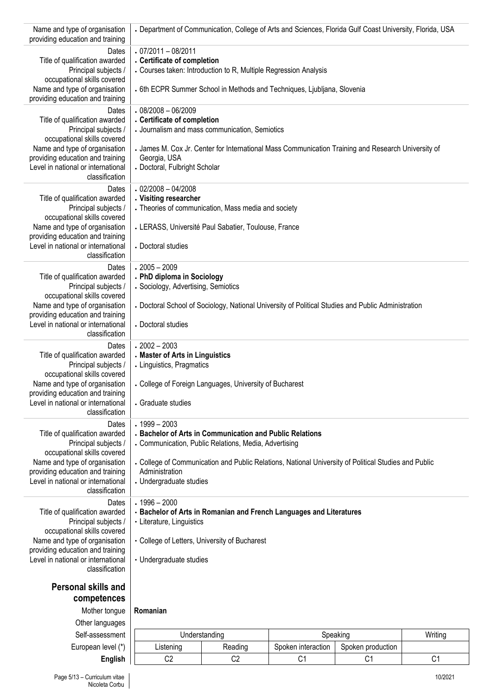| Name and type of organisation<br>providing education and training      | - Department of Communication, College of Arts and Sciences, Florida Gulf Coast University, Florida, USA          |                             |                    |                               |         |  |
|------------------------------------------------------------------------|-------------------------------------------------------------------------------------------------------------------|-----------------------------|--------------------|-------------------------------|---------|--|
| Dates                                                                  | $.07/2011 - 08/2011$                                                                                              |                             |                    |                               |         |  |
| Title of qualification awarded                                         |                                                                                                                   | . Certificate of completion |                    |                               |         |  |
| Principal subjects /<br>occupational skills covered                    | • Courses taken: Introduction to R, Multiple Regression Analysis                                                  |                             |                    |                               |         |  |
| Name and type of organisation<br>providing education and training      | . 6th ECPR Summer School in Methods and Techniques, Ljubljana, Slovenia                                           |                             |                    |                               |         |  |
| Dates                                                                  | $08/2008 - 06/2009$                                                                                               |                             |                    |                               |         |  |
| Title of qualification awarded<br>Principal subjects /                 | . Certificate of completion<br>• Journalism and mass communication, Semiotics                                     |                             |                    |                               |         |  |
| occupational skills covered                                            |                                                                                                                   |                             |                    |                               |         |  |
| Name and type of organisation                                          | • James M. Cox Jr. Center for International Mass Communication Training and Research University of                |                             |                    |                               |         |  |
| providing education and training<br>Level in national or international | Georgia, USA<br>- Doctoral, Fulbright Scholar                                                                     |                             |                    |                               |         |  |
| classification                                                         |                                                                                                                   |                             |                    |                               |         |  |
| Dates                                                                  | $02/2008 - 04/2008$                                                                                               |                             |                    |                               |         |  |
| Title of qualification awarded<br>Principal subjects /                 | . Visiting researcher<br>• Theories of communication, Mass media and society                                      |                             |                    |                               |         |  |
| occupational skills covered                                            |                                                                                                                   |                             |                    |                               |         |  |
| Name and type of organisation<br>providing education and training      | • LERASS, Université Paul Sabatier, Toulouse, France                                                              |                             |                    |                               |         |  |
| Level in national or international                                     | Doctoral studies                                                                                                  |                             |                    |                               |         |  |
| classification                                                         |                                                                                                                   |                             |                    |                               |         |  |
| Dates<br>Title of qualification awarded                                | $.2005 - 2009$<br>. PhD diploma in Sociology                                                                      |                             |                    |                               |         |  |
| Principal subjects /                                                   | · Sociology, Advertising, Semiotics                                                                               |                             |                    |                               |         |  |
| occupational skills covered                                            |                                                                                                                   |                             |                    |                               |         |  |
| Name and type of organisation<br>providing education and training      | • Doctoral School of Sociology, National University of Political Studies and Public Administration                |                             |                    |                               |         |  |
| Level in national or international                                     | . Doctoral studies                                                                                                |                             |                    |                               |         |  |
| classification<br>Dates                                                | $.2002 - 2003$                                                                                                    |                             |                    |                               |         |  |
| Title of qualification awarded                                         | . Master of Arts in Linguistics                                                                                   |                             |                    |                               |         |  |
| Principal subjects /                                                   | • Linguistics, Pragmatics                                                                                         |                             |                    |                               |         |  |
| occupational skills covered<br>Name and type of organisation           | • College of Foreign Languages, University of Bucharest                                                           |                             |                    |                               |         |  |
| providing education and training                                       |                                                                                                                   |                             |                    |                               |         |  |
| Level in national or international<br>classification                   | · Graduate studies                                                                                                |                             |                    |                               |         |  |
| Dates                                                                  | $.1999 - 2003$                                                                                                    |                             |                    |                               |         |  |
| Title of qualification awarded<br>Principal subjects /                 | - Bachelor of Arts in Communication and Public Relations<br>• Communication, Public Relations, Media, Advertising |                             |                    |                               |         |  |
| occupational skills covered                                            |                                                                                                                   |                             |                    |                               |         |  |
| Name and type of organisation                                          | . College of Communication and Public Relations, National University of Political Studies and Public              |                             |                    |                               |         |  |
| providing education and training<br>Level in national or international | Administration<br>. Undergraduate studies                                                                         |                             |                    |                               |         |  |
| classification                                                         |                                                                                                                   |                             |                    |                               |         |  |
| Dates<br>Title of qualification awarded                                | $.1996 - 2000$<br>· Bachelor of Arts in Romanian and French Languages and Literatures                             |                             |                    |                               |         |  |
| Principal subjects /                                                   | • Literature, Linguistics                                                                                         |                             |                    |                               |         |  |
| occupational skills covered                                            |                                                                                                                   |                             |                    |                               |         |  |
| Name and type of organisation<br>providing education and training      | • College of Letters, University of Bucharest                                                                     |                             |                    |                               |         |  |
| Level in national or international                                     | • Undergraduate studies                                                                                           |                             |                    |                               |         |  |
| classification                                                         |                                                                                                                   |                             |                    |                               |         |  |
| <b>Personal skills and</b>                                             |                                                                                                                   |                             |                    |                               |         |  |
| competences                                                            |                                                                                                                   |                             |                    |                               |         |  |
| Mother tongue                                                          | Romanian                                                                                                          |                             |                    |                               |         |  |
| Other languages<br>Self-assessment                                     |                                                                                                                   | Understanding               |                    |                               | Writing |  |
| European level (*)                                                     | Listening                                                                                                         | Reading                     | Spoken interaction | Speaking<br>Spoken production |         |  |
|                                                                        |                                                                                                                   |                             |                    |                               |         |  |

**English** C2 C2 C1 C1 C1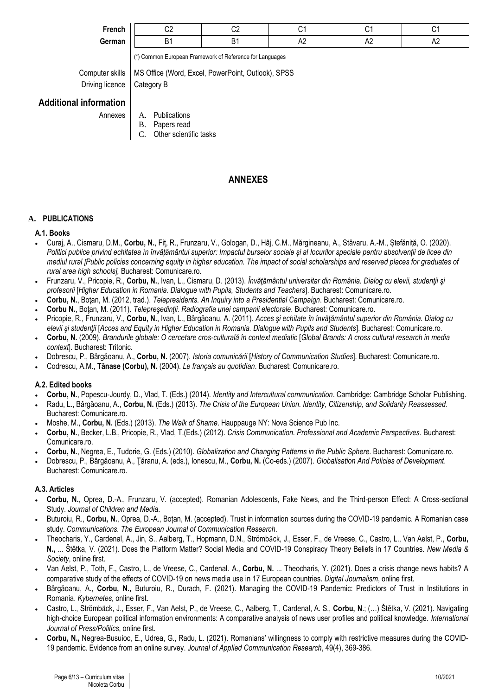|  |  | ·renci |  |
|--|--|--------|--|
|  |  |        |  |

| $\sim$<br>French | ^^<br>JL | ~~<br>ັ |    | ◝   |            |
|------------------|----------|---------|----|-----|------------|
| German           | - -      |         | rν | rv. | <u>гч.</u> |

**German** B1 B1 A2 A2 A2

(\*) Common European Framework of Reference for Languages

Computer skills | MS Office (Word, Excel, PowerPoint, Outlook), SPSS Driving licence | Category B

**Additional information**

Annexes | A. Publications

- B. Papers read
- C. Other scientific tasks

## **ANNEXES**

## **A. PUBLICATIONS**

## **A.1. Books**

- Curaj, A., Cismaru, D.M., **Corbu, N.**, Fiț, R., Frunzaru, V., Gologan, D., Hâj, C.M., Mărgineanu, A., Stăvaru, A.-M., Ștefăniță, O. (2020). *Politici publice privind echitatea în învățământul superior: Impactul burselor sociale și al locurilor speciale pentru absolvenții de licee din mediul rural [Public policies concerning equity in higher education. The impact of social scholarships and reserved places for graduates of rural area high schools],* Bucharest: Comunicare.ro.
- Frunzaru, V., Pricopie, R., **Corbu, N.**, Ivan, L., Cismaru, D. (2013). *Învăţământul universitar din România. Dialog cu elevii, studenţii şi profesorii* [*Higher Education in Romania. Dialogue with Pupils, Students and Teachers*]. Bucharest: Comunicare.ro.
- **Corbu, N.**, Boţan, M. (2012, trad.). *Telepresidents. An Inquiry into a Presidential Campaign*. Bucharest: Comunicare.ro.
- **Corbu N.**, Boţan, M. (2011). *Telepreşedinţii. Radiografia unei campanii electorale*. Bucharest: Comunicare.ro.
- Pricopie, R., Frunzaru, V., **Corbu, N.**, Ivan, L., Bârgăoanu, A. (2011). *Acces şi echitate în învăţământul superior din România. Dialog cu elevii şi studenţii* [*Acces and Equity in Higher Education in Romania. Dialogue with Pupils and Students*]. Bucharest: Comunicare.ro*.*
- **Corbu, N.** (2009). *Brandurile globale: O cercetare cros-culturală în context mediatic* [*Global Brands: A cross cultural research in media context*]. Bucharest: Tritonic.
- Dobrescu, P., Bârgăoanu, A., **Corbu, N.** (2007). *Istoria comunicării* [*History of Communication Studies*]. Bucharest: Comunicare.ro.
- Codrescu, A.M., **Tănase (Corbu), N.** (2004). *Le français au quotidian*. Bucharest: Comunicare.ro.

## **A.2. Edited books**

- **Corbu, N.**, Popescu-Jourdy, D., Vlad, T. (Eds.) (2014). *Identity and Intercultural communication*. Cambridge: Cambridge Scholar Publishing.
- Radu, L., Bârgăoanu, A., **Corbu, N.** (Eds.) (2013). *The Crisis of the European Union. Identity, Citizenship, and Solidarity Reassessed*. Bucharest: Comunicare.ro.
- Moshe, M., **Corbu, N.** (Eds.) (2013). *The Walk of Shame*. Hauppauge NY: Nova Science Pub Inc.
- **Corbu, N.**, Becker, L.B., Pricopie, R., Vlad, T.(Eds.) (2012). *Crisis Communication. Professional and Academic Perspectives*. Bucharest: Comunicare.ro.
- **Corbu, N.**, Negrea, E., Tudorie, G. (Eds.) (2010). *Globalization and Changing Patterns in the Public Sphere*. Bucharest: Comunicare.ro.
- Dobrescu, P., Bârgăoanu, A., Ţăranu, A. (eds.), Ionescu, M., **Corbu, N.** (Co-eds.) (2007). *Globalisation And Policies of Development*. Bucharest: Comunicare.ro.

## **A.3. Articles**

- **Corbu, N.**, Oprea, D.-A., Frunzaru, V. (accepted). Romanian Adolescents, Fake News, and the Third-person Effect: A Cross-sectional Study. *Journal of Children and Media*.
- Buturoiu, R., **Corbu, N.**, Oprea, D.-A., Boțan, M. (accepted). Trust in information sources during the COVID-19 pandemic. A Romanian case study. *Communications. The European Journal of Communication Research*.
- Theocharis, Y., Cardenal, A., Jin, S., Aalberg, T., Hopmann, D.N., Strömbӓck, J., Esser, F., de Vreese, C., Castro, L., Van Aelst, P., **Corbu, N.,** ... Štětka, V. (2021). Does the Platform Matter? Social Media and COVID-19 Conspiracy Theory Beliefs in 17 Countries. *New Media & Society*, online first.
- Van Aelst, P., Toth, F., Castro, L., de Vreese, C., Cardenal. A., **Corbu, N.** ... Theocharis, Y. (2021). Does a crisis change news habits? A comparative study of the effects of COVID-19 on news media use in 17 European countries. *Digital Journalism*, online first.
- Bârgăoanu, A., **Corbu, N.,** Buturoiu, R., Durach, F. (2021). Managing the COVID-19 Pandemic: Predictors of Trust in Institutions in Romania. *Kybernetes*, online first.
- Castro, L., Strömbӓck, J., Esser, F., Van Aelst, P., de Vreese, C., Aalberg, T., Cardenal, A. S., **Corbu, N**.; (…) Štětka, V. (2021). Navigating high-choice European political information environments: A comparative analysis of news user profiles and political knowledge. *International Journal of Press/Politics*, online first.
- **Corbu, N.,** Negrea-Busuioc, E., Udrea, G., Radu, L. (2021). Romanians' willingness to comply with restrictive measures during the COVID-19 pandemic. Evidence from an online survey. *Journal of Applied Communication Research*, 49(4), 369-386.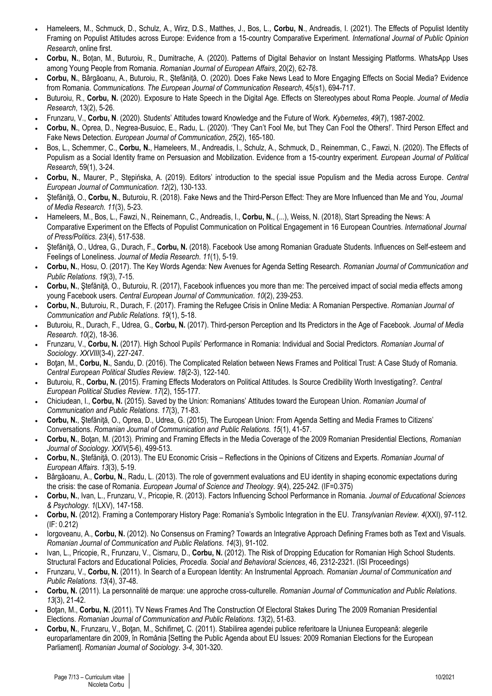- Hameleers, M., Schmuck, D., Schulz, A., Wirz, D.S., Matthes, J., Bos, L., **Corbu, N**., Andreadis, I. (2021). The Effects of Populist Identity Framing on Populist Attitudes across Europe: Evidence from a 15-country Comparative Experiment. *International Journal of Public Opinion Research*, online first.
- **Corbu, N.**, Boțan, M., Buturoiu, R., Dumitrache, A. (2020). Patterns of Digital Behavior on Instant Messiging Platforms. WhatsApp Uses among Young People from Romania. *Romanian Journal of European Affairs*, 20(2), 62-78.
- **Corbu, N.**, Bârgăoanu, A., Buturoiu, R., Ștefăniță, O. (2020). Does Fake News Lead to More Engaging Effects on Social Media? Evidence from Romania. *Communications. The European Journal of Communication Research*, 45(s1), 694-717.
- Buturoiu, R., **Corbu, N.** (2020). Exposure to Hate Speech in the Digital Age. Effects on Stereotypes about Roma People. *Journal of Media Research*, 13(2), 5-26.
- Frunzaru, V., **Corbu, N**. (2020). Students' Attitudes toward Knowledge and the Future of Work. *Kybernetes*, *49*(7), 1987-2002.
- **Corbu, N.**, Oprea, D., Negrea-Busuioc, E., Radu, L. (2020). 'They Can't Fool Me, but They Can Fool the Others!'. Third Person Effect and Fake News Detection. *European Journal of Communication*, *25*(2), 165-180.
- Bos, L., Schemmer, C., **Corbu, N.**, Hameleers, M., Andreadis, I., Schulz, A., Schmuck, D., Reinemman, C., Fawzi, N. (2020). The Effects of Populism as a Social Identity frame on Persuasion and Mobilization. Evidence from a 15-country experiment. *European Journal of Political Research*, 59(1), 3-24.
- **Corbu, N.**, Maurer, P., Stępińska, A. (2019). Editors' introduction to the special issue Populism and the Media across Europe. *Central European Journal of Communication*. *12*(2), 130-133.
- Ştefăniţă, O., **Corbu, N.**, Buturoiu, R. (2018). Fake News and the Third-Person Effect: They are More Influenced than Me and You, *Journal of Media Research. 11*(3), 5-23.
- Hameleers, M., Bos, L., Fawzi, N., Reinemann, C., Andreadis, I., **Corbu, N.**, (...), Weiss, N. (2018), Start Spreading the News: A Comparative Experiment on the Effects of Populist Communication on Political Engagement in 16 European Countries. *International Journal of Press/Politics*. *23*(4), 517-538.
- Ştefăniţă, O., Udrea, G., Durach, F., **Corbu, N.** (2018). Facebook Use among Romanian Graduate Students. Influences on Self-esteem and Feelings of Loneliness. *Journal of Media Research*. *11*(1), 5-19.
- **Corbu, N.**, Hosu, O. (2017). The Key Words Agenda: New Avenues for Agenda Setting Research. *Romanian Journal of Communication and Public Relations*. *19*(3), 7-15.
- Corbu, N., Stefăniță, O., Buturoiu, R. (2017), Facebook influences you more than me: The perceived impact of social media effects among young Facebook users. *Central European Journal of Communication*. *10*(2), 239-253.
- **Corbu, N.**, Buturoiu, R., Durach, F. (2017). Framing the Refugee Crisis in Online Media: A Romanian Perspective. *Romanian Journal of Communication and Public Relations*. *19*(1), 5-18.
- Buturoiu, R., Durach, F., Udrea, G., **Corbu, N.** (2017). Third-person Perception and Its Predictors in the Age of Facebook. *Journal of Media Research*. *10*(2), 18-36.
- Frunzaru, V., **Corbu, N.** (2017). High School Pupils' Performance in Romania: Individual and Social Predictors. *Romanian Journal of Sociology*. *XXVIII*(3-4), 227-247.
- Botan, M., Corbu, N., Sandu, D. (2016). The Complicated Relation between News Frames and Political Trust: A Case Study of Romania. *Central European Political Studies Review*. *18*(2-3), 122-140.
- Buturoiu, R., **Corbu, N.** (2015). Framing Effects Moderators on Political Attitudes. Is Source Credibility Worth Investigating?. *Central European Political Studies Review*. *17*(2), 155-177.
- Chiciudean, I., **Corbu, N.** (2015). Saved by the Union: Romanians' Attitudes toward the European Union. *Romanian Journal of Communication and Public Relations*. *17*(3), 71-83.
- **Corbu, N.**, Ştefăniţă, O., Oprea, D., Udrea, G. (2015), The European Union: From Agenda Setting and Media Frames to Citizens' Conversations. *Romanian Journal of Communication and Public Relations*. *15*(1), 41-57.
- **Corbu, N.**, Boţan, M. (2013). Priming and Framing Effects in the Media Coverage of the 2009 Romanian Presidential Elections, *Romanian Journal of Sociology*. *XXIV*(5-6), 499-513.
- **Corbu, N.**, Ştefăniţă, O. (2013). The EU Economic Crisis Reflections in the Opinions of Citizens and Experts. *Romanian Journal of European Affairs*. *13*(3), 5-19.
- Bârgăoanu, A., **Corbu, N.**, Radu, L. (2013). The role of government evaluations and EU identity in shaping economic expectations during the crisis: the case of Romania. *European Journal of Science and Theology*. *9*(4), 225-242. (IF=0.375)
- **Corbu, N.**, Ivan, L., Frunzaru, V., Pricopie, R. (2013). Factors Influencing School Performance in Romania. *Journal of Educational Sciences & Psychology*. *1*(LXV), 147-158.
- **Corbu, N.** (2012). Framing a Contemporary History Page: Romania's Symbolic Integration in the EU. *Transylvanian Review*. *4*(XXI), 97-112. (IF: 0.212)
- Iorgoveanu, A., **Corbu, N.** (2012). No Consensus on Framing? Towards an Integrative Approach Defining Frames both as Text and Visuals. *Romanian Journal of Communication and Public Relations*. *14*(3), 91-102.
- Ivan, L., Pricopie, R., Frunzaru, V., Cismaru, D., **Corbu, N.** (2012). The Risk of Dropping Education for Romanian High School Students. Structural Factors and Educational Policies, *Procedia. Social and Behavioral Sciences*, 46, 2312-2321. (ISI Proceedings)
- Frunzaru, V., **Corbu, N.** (2011). In Search of a European Identity: An Instrumental Approach. *Romanian Journal of Communication and Public Relations*. *13*(4), 37-48.
- **Corbu, N.** (2011). La personnalité de marque: une approche cross-culturelle. *Romanian Journal of Communication and Public Relations*. *13*(3), 21-42.
- Botan, M., Corbu, N. (2011). TV News Frames And The Construction Of Electoral Stakes During The 2009 Romanian Presidential Elections. *Romanian Journal of Communication and Public Relations*. *13*(2), 51-63.
- **Corbu, N.**, Frunzaru, V., Boţan, M., Schifirneţ, C. (2011). Stabilirea agendei publice referitoare la Uniunea Europeană: alegerile europarlamentare din 2009, în România [Setting the Public Agenda about EU Issues: 2009 Romanian Elections for the European Parliament]. *Romanian Journal of Sociology*. *3-4*, 301-320.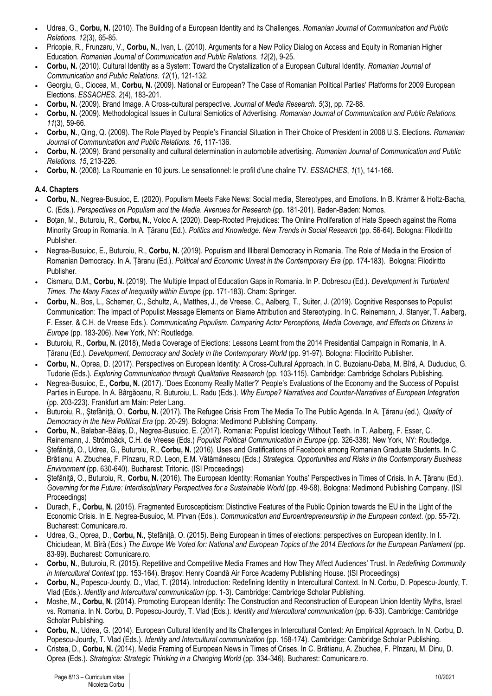- Udrea, G., **Corbu, N.** (2010). The Building of a European Identity and its Challenges. *Romanian Journal of Communication and Public Relations. 12*(3), 65-85.
- Pricopie, R., Frunzaru, V., **Corbu, N.**, Ivan, L. (2010). Arguments for a New Policy Dialog on Access and Equity in Romanian Higher Education. *Romanian Journal of Communication and Public Relations*. *12*(2), 9-25.
- **Corbu, N.** (2010). Cultural Identity as a System: Toward the Crystallization of a European Cultural Identity. *Romanian Journal of Communication and Public Relations. 12*(1), 121-132.
- Georgiu, G., Ciocea, M., **Corbu, N.** (2009). National or European? The Case of Romanian Political Parties' Platforms for 2009 European Elections. *ESSACHES*. *2*(4), 183-201.
- **Corbu, N.** (2009). Brand Image. A Cross-cultural perspective. *Journal of Media Research*. *5*(3), pp. 72-88.
- **Corbu, N.** (2009). Methodological Issues in Cultural Semiotics of Advertising. *Romanian Journal of Communication and Public Relations. 11*(3), 59-66.
- **Corbu, N.**, Qing, Q. (2009). The Role Played by People's Financial Situation in Their Choice of President in 2008 U.S. Elections. *Romanian Journal of Communication and Public Relations. 16*, 117-136.
- **Corbu, N.** (2009). Brand personality and cultural determination in automobile advertising. *Romanian Journal of Communication and Public Relations. 15*, 213-226.
- **Corbu, N.** (2008). La Roumanie en 10 jours. Le sensationnel: le profil d'une chaîne TV. *ESSACHES*, *1*(1), 141-166.

## **A.4. Chapters**

- **Corbu, N.**, Negrea-Busuioc, E. (2020). Populism Meets Fake News: Social media, Stereotypes, and Emotions. In B. Krӓmer & Holtz-Bacha, C. (Eds.). *Perspectives on Populism and the Media. Avenues for Research* (pp. 181-201). Baden-Baden: Nomos.
- Boțan, M., Buturoiu, R., **Corbu, N.**, Voloc A. (2020). Deep-Rooted Prejudices: The Online Proliferation of Hate Speech against the Roma Minority Group in Romania. In A. Țăranu (Ed.). *Politics and Knowledge. New Trends in Social Research* (pp. 56-64). Bologna: Filodiritto Publisher.
- Negrea-Busuioc, E., Buturoiu, R., **Corbu, N.** (2019). Populism and Illiberal Democracy in Romania. The Role of Media in the Erosion of Romanian Democracy. In A. Țăranu (Ed.). *Political and Economic Unrest in the Contemporary Era* (pp. 174-183). Bologna: Filodiritto Publisher.
- Cismaru, D.M., **Corbu, N.** (2019). The Multiple Impact of Education Gaps in Romania. In P. Dobrescu (Ed.). *Development in Turbulent Times. The Many Faces of Inequality within Europe (pp. 171-183). Cham: Springer.*
- **Corbu, N.**, Bos, L., Schemer, C., Schultz, A., Matthes, J., de Vreese, C., Aalberg, T., Suiter, J. (2019). Cognitive Responses to Populist Communication: The Impact of Populist Message Elements on Blame Attribution and Stereotyping. In C. Reinemann, J. Stanyer, T. Aalberg, F. Esser, & C.H. de Vreese Eds.). *Communicating Populism. Comparing Actor Perceptions, Media Coverage, and Effects on Citizens in Europe* (pp. 183-206). New York, NY: Routledge.
- Buturoiu, R., **Corbu, N.** (2018), Media Coverage of Elections: Lessons Learnt from the 2014 Presidential Campaign in Romania, In A. Țăranu (Ed.). *Development, Democracy and Society in the Contemporary World* (pp. 91-97). Bologna: Filodiritto Publisher.
- **Corbu, N.**, Oprea, D. (2017). Perspectives on European Identity: A Cross-Cultural Approach. In C. Buzoianu-Daba, M. Bîră, A. Duduciuc, G. Tudorie (Eds.). *Exploring Communication through Qualitative Reasearch* (pp. 103-115). Cambridge: Cambridge Scholars Publishing.
- Negrea-Busuioc, E., **Corbu, N.** (2017). 'Does Economy Really Matter?' People's Evaluations of the Economy and the Success of Populist Parties in Europe. In A. Bârgăoanu, R. Buturoiu, L. Radu (Eds.). *Why Europe? Narratives and Counter-Narratives of European Integration* (pp. 203-223). Frankfurt am Main: Peter Lang.
- Buturoiu, R., Stefănită, O., Corbu, N. (2017). The Refugee Crisis From The Media To The Public Agenda. In A. Tăranu (ed.), *Quality of Democracy in the New Political Era* (pp. 20-29). Bologna: Medimond Publishing Company.
- **Corbu, N.**, Balaban-Bălaş, D., Negrea-Busuioc, E. (2017). Romania: Populist Ideology Without Teeth. In T. Aalberg, F. Esser, C. Reinemann, J. Strömbäck, C.H. de Vreese (Eds.) *Populist Political Communication in Europe* (pp. 326-338). New York, NY: Routledge.
- Ştefăniţă, O., Udrea, G., Buturoiu, R., **Corbu, N.** (2016). Uses and Gratifications of Facebook among Romanian Graduate Students. In C. Brătianu, A. Zbuchea, F. Pînzaru, R.D. Leon, E.M. Vătămănescu (Eds.) *Strategica. Opportunities and Risks in the Contemporary Business Environment* (pp. 630-640). Bucharest: Tritonic. (ISI Proceedings)
- Ştefăniţă, O., Buturoiu, R., **Corbu, N.** (2016). The European Identity: Romanian Youths' Perspectives in Times of Crisis. In A. Ţăranu (Ed.). *Governing for the Future: Interdisciplinary Perspectives for a Sustainable World* (pp. 49-58). Bologna: Medimond Publishing Company. (ISI Proceedings)
- Durach, F., **Corbu, N.** (2015). Fragmented Euroscepticism: Distinctive Features of the Public Opinion towards the EU in the Light of the Economic Crisis. In E. Negrea-Busuioc, M. Pîrvan (Eds.). *Communication and Euroentrepreneurship in the European context*. (pp. 55-72). Bucharest: Comunicare.ro.
- Udrea, G., Oprea, D., **Corbu, N.**, Ştefăniţă, O. (2015). Being European in times of elections: perspectives on European identity. In I. Chiciudean, M. Bîră (Eds.) *The Europe We Voted for: National and European Topics of the 2014 Elections for the European Parliament* (pp. 83-99). Bucharest: Comunicare.ro.
- **Corbu, N.**, Buturoiu, R. (2015). Repetitive and Competitive Media Frames and How They Affect Audiences' Trust. In *Redefining Community in Intercultural Context* (pp. 153-164). Braşov: Henry Coandă Air Force Academy Publishing House. (ISI Proceedings)
- **Corbu, N.,** Popescu-Jourdy, D., Vlad, T. (2014). Introduction: Redefining Identity in Intercultural Context. In N. Corbu, D. Popescu-Jourdy, T. Vlad (Eds.). *Identity and Intercultural communication* (pp. 1-3). Cambridge: Cambridge Scholar Publishing.
- Moshe, M., **Corbu, N.** (2014). Promoting European Identity: The Construction and Reconstruction of European Union Identity Myths, Israel vs. Romania. In N. Corbu, D. Popescu-Jourdy, T. Vlad (Eds.). *Identity and Intercultural communication* (pp. 6-33). Cambridge: Cambridge Scholar Publishing.
- **Corbu, N.**, Udrea, G. (2014). European Cultural Identity and Its Challenges in Intercultural Context: An Empirical Approach. In N. Corbu, D. Popescu-Jourdy, T. Vlad (Eds.). *Identity and Intercultural communication* (pp. 158-174). Cambridge: Cambridge Scholar Publishing.
- Cristea, D., **Corbu, N.** (2014). Media Framing of European News in Times of Crises. In C. Brătianu, A. Zbuchea, F. Pînzaru, M. Dinu, D. Oprea (Eds.). *Strategica: Strategic Thinking in a Changing World* (pp. 334-346). Bucharest: Comunicare.ro.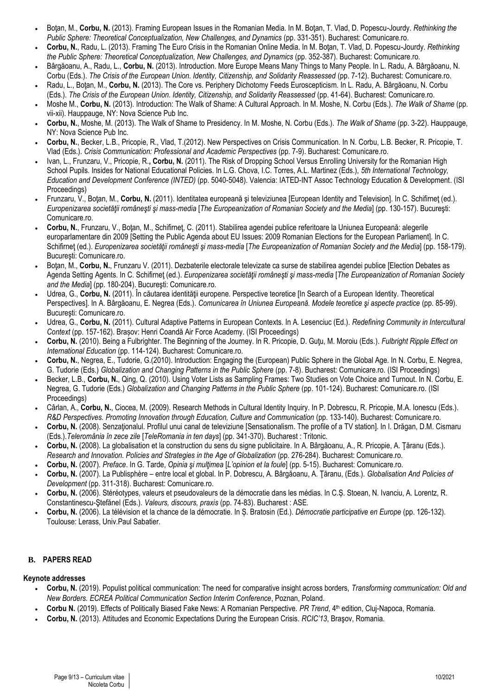- Botan, M., Corbu, N. (2013). Framing European Issues in the Romanian Media. In M. Botan, T. Vlad, D. Popescu-Jourdy. Rethinking the *Public Sphere: Theoretical Conceptualization, New Challenges, and Dynamics* (pp. 331-351). Bucharest: Comunicare.ro.
- **Corbu, N.**, Radu, L. (2013). Framing The Euro Crisis in the Romanian Online Media. In M. Boţan, T. Vlad, D. Popescu-Jourdy. *Rethinking the Public Sphere: Theoretical Conceptualization, New Challenges, and Dynamics* (pp. 352-387). Bucharest: Comunicare.ro.
- Bârgăoanu, A., Radu, L., **Corbu, N.** (2013). Introduction. More Europe Means Many Things to Many People. In L. Radu, A. Bârgăoanu, N. Corbu (Eds.). *The Crisis of the European Union. Identity, Citizenship, and Solidarity Reassessed* (pp. 7-12). Bucharest: Comunicare.ro.
- Radu, L., Boţan, M., **Corbu, N.** (2013). The Core vs. Periphery Dichotomy Feeds Euroscepticism. In L. Radu, A. Bârgăoanu, N. Corbu (Eds.). *The Crisis of the European Union. Identity, Citizenship, and Solidarity Reassessed* (pp. 41-64). Bucharest: Comunicare.ro.
- Moshe M., **Corbu, N.** (2013). Introduction: The Walk of Shame: A Cultural Approach. In M. Moshe, N. Corbu (Eds.). *The Walk of Shame* (pp. vii-xii). Hauppauge, NY: Nova Science Pub Inc.
- **Corbu, N.**, Moshe, M. (2013). The Walk of Shame to Presidency. In M. Moshe, N. Corbu (Eds.). *The Walk of Shame* (pp. 3-22). Hauppauge, NY: Nova Science Pub Inc.
- **Corbu, N.**, Becker, L.B., Pricopie, R., Vlad, T.(2012). New Perspectives on Crisis Communication. In N. Corbu, L.B. Becker, R. Pricopie, T. Vlad (Eds.). *Crisis Communication: Professional and Academic Perspectives* (pp. 7-9). Bucharest: Comunicare.ro.
- Ivan, L., Frunzaru, V., Pricopie, R.**, Corbu, N.** (2011). The Risk of Dropping School Versus Enrolling University for the Romanian High School Pupils. Insides for National Educational Policies. In L.G. Chova, I.C. Torres, A.L. Martinez (Eds.), *5th International Technology, Education and Development Conference (INTED)* (pp. 5040-5048). Valencia: IATED-INT Assoc Technology Education & Development. (ISI Proceedings)
- Frunzaru, V., Boţan, M., **Corbu, N.** (2011). Identitatea europeană şi televiziunea [European Identity and Television]. In C. Schifirneţ (ed.). *Europenizarea societăţii româneşti şi mass-media* [*The Europeanization of Romanian Society and the Media*] (pp. 130-157). Bucureşti: Comunicare.ro.
- **Corbu, N.**, Frunzaru, V., Boţan, M., Schifirneţ, C. (2011). Stabilirea agendei publice referitoare la Uniunea Europeană: alegerile europarlamentare din 2009 [Setting the Public Agenda about EU Issues: 2009 Romanian Elections for the European Parliament]. In C. Schifirneţ (ed.). *Europenizarea societăţii româneşti şi mass-media* [*The Europeanization of Romanian Society and the Media*] (pp. 158-179). Bucureşti: Comunicare.ro.
- Botan, M., Corbu, N., Frunzaru V. (2011). Dezbaterile electorale televizate ca surse de stabilirea agendei publice [Election Debates as Agenda Setting Agents. In C. Schifirneţ (ed.). *Europenizarea societăţii româneşti şi mass-media* [*The Europeanization of Romanian Society and the Media*] (pp. 180-204). Bucureşti: Comunicare.ro.
- Udrea, G., Corbu, N. (2011). În căutarea identității europene. Perspective teoretice [In Search of a European Identity. Theoretical Perspectives]. In A. Bârgăoanu, E. Negrea (Eds.). *Comunicarea în Uniunea Europeană. Modele teoretice şi aspecte practice* (pp. 85-99). Bucureşti: Comunicare.ro.
- Udrea, G., **Corbu, N.** (2011). Cultural Adaptive Patterns in European Contexts. In A. Lesenciuc (Ed.). *Redefining Community in Intercultural Context* (pp. 157-162). Brașov: Henri Coandă Air Force Academy. (ISI Proceedings)
- **Corbu, N.** (2010). Being a Fulbrighter. The Beginning of the Journey. In R. Pricopie, D. Guţu, M. Moroiu (Eds.). *Fulbright Ripple Effect on International Education* (pp. 114-124). Bucharest: Comunicare.ro.
- **Corbu, N.**, Negrea, E., Tudorie, G.(2010). Introduction: Engaging the (European) Public Sphere in the Global Age. In N. Corbu, E. Negrea, G. Tudorie (Eds.) *Globalization and Changing Patterns in the Public Sphere* (pp. 7-8). Bucharest: Comunicare.ro. (ISI Proceedings)
- Becker, L.B., **Corbu, N.**, Qing, Q. (2010). Using Voter Lists as Sampling Frames: Two Studies on Vote Choice and Turnout. In N. Corbu, E. Negrea, G. Tudorie (Eds.) *Globalization and Changing Patterns in the Public Sphere* (pp. 101-124). Bucharest: Comunicare.ro. (ISI Proceedings)
- Cârlan, A., **Corbu, N.**, Ciocea, M. (2009). Research Methods in Cultural Identity Inquiry. In P. Dobrescu, R. Pricopie, M.A. Ionescu (Eds.). *R&D Perspectives. Promoting Innovation through Education, Culture and Communication* (pp. 133-140). Bucharest: Comunicare.ro*.*
- Corbu, N. (2008). Senzationalul. Profilul unui canal de televiziune [Sensationalism. The profile of a TV station]. In I. Drăgan, D.M. Cismaru (Eds.).*Teleromânia în zece zile* [*TeleRomania in ten days*] (pp. 341-370). Bucharest : Tritonic.
- **Corbu, N.** (2008). La globalisation et la construction du sens du signe publicitaire. In A. Bârgăoanu, A., R. Pricopie, A. Ţăranu (Eds.). *Research and Innovation. Policies and Strategies in the Age of Globalization* (pp. 276-284). Bucharest: Comunicare.ro.
- **Corbu, N.** (2007). *Preface*. In G. Tarde, *Opinia şi mulţimea* [*L'opinion et la foule*] (pp. 5-15). Bucharest: Comunicare.ro.
- **Corbu, N.** (2007). La Publisphère entre local et global. In P. Dobrescu, A. Bârgăoanu, A. Ţăranu, (Eds.). *Globalisation And Policies of Development* (pp. 311-318). Bucharest: Comunicare.ro.
- **Corbu, N.** (2006). Stéréotypes, valeurs et pseudovaleurs de la démocratie dans les médias. In C.Ș. Stoean, N. Ivanciu, A. Lorentz, R. Constantinescu-Ştefănel (Eds.). *Valeurs, discours, praxis* (pp. 74-83). Bucharest : ASE.
- **Corbu, N.** (2006). La télévision et la chance de la démocratie. In Ș. Bratosin (Ed.). *Démocratie participative en Europe* (pp. 126-132). Toulouse: Lerass, Univ.Paul Sabatier.

## **B. PAPERS READ**

## **Keynote addresses**

- **Corbu, N.** (2019). Populist political communication: The need for comparative insight across borders, *Transforming communication: Old and New Borders. ECREA Political Communication Section Interim Conference*, Poznan, Poland.
- **Corbu N.** (2019). Effects of Politically Biased Fake News: A Romanian Perspective. *PR Trend*, 4th edition, Cluj-Napoca, Romania.
- **Corbu, N.** (2013). Attitudes and Economic Expectations During the European Crisis. *RCIC'13*, Braşov, Romania.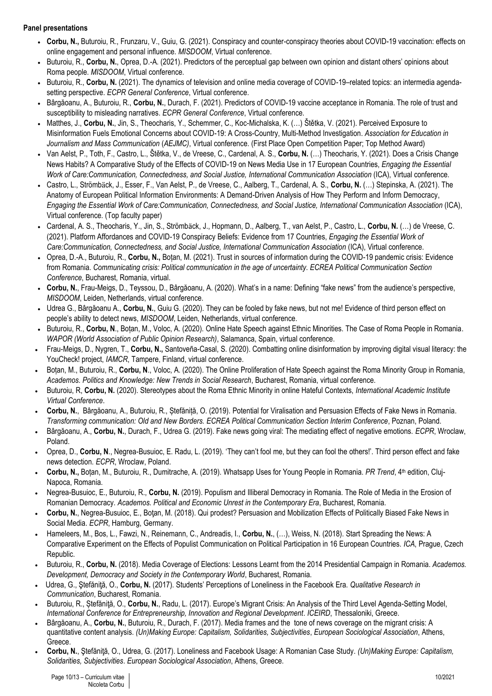## **Panel presentations**

- **Corbu, N.,** Buturoiu, R., Frunzaru, V., Guiu, G. (2021). Conspiracy and counter-conspiracy theories about COVID-19 vaccination: effects on online engagement and personal influence. *MISDOOM*, Virtual conference.
- Buturoiu, R., **Corbu, N.**, Oprea, D.-A. (2021). Predictors of the perceptual gap between own opinion and distant others' opinions about Roma people. *MISDOOM*, Virtual conference.
- Buturoiu, R., **Corbu, N.** (2021). The dynamics of television and online media coverage of COVID-19–related topics: an intermedia agendasetting perspective. *ECPR General Conference*, Virtual conference.
- Bârgăoanu, A., Buturoiu, R., **Corbu, N.**, Durach, F. (2021). Predictors of COVID-19 vaccine acceptance in Romania. The role of trust and susceptibility to misleading narratives. *ECPR General Conference*, Virtual conference.
- Matthes, J., **Corbu, N.**, Jin, S., Theocharis, Y., Schemmer, C., Koc-Michalska, K. (…) Štětka, V. (2021). Perceived Exposure to Misinformation Fuels Emotional Concerns about COVID-19: A Cross-Country, Multi-Method Investigation. *Association for Education in Journalism and Mass Communication* (*AEJMC)*, Virtual conference. (First Place Open Competition Paper; Top Method Award)
- Van Aelst, P., Toth, F., Castro, L., Štětka, V., de Vreese, C., Cardenal, A. S., **Corbu, N.** (…) Theocharis, Y. (2021). Does a Crisis Change News Habits? A Comparative Study of the Effects of COVID-19 on News Media Use in 17 European Countries, *Engaging the Essential Work of Care:Communication, Connectedness, and Social Justice, International Communication Association* (ICA), Virtual conference.
- Castro, L., Strömbӓck, J., Esser, F., Van Aelst, P., de Vreese, C., Aalberg, T., Cardenal, A. S., **Corbu, N.** (…) Stepinska, A. (2021). The Anatomy of European Political Information Environments: A Demand-Driven Analysis of How They Perform and Inform Democracy, *Engaging the Essential Work of Care:Communication, Connectedness, and Social Justice, International Communication Association* (ICA), Virtual conference. (Top faculty paper)
- Cardenal, A. S., Theocharis, Y., Jin, S., Strömbӓck, J., Hopmann, D., Aalberg, T., van Aelst, P., Castro, L., **Corbu, N.** (…) de Vreese, C. (2021). Platform Affordances and COVID-19 Conspiracy Beliefs: Evidence from 17 Countries, *Engaging the Essential Work of Care:Communication, Connectedness, and Social Justice, International Communication Association* (ICA), Virtual conference.
- Oprea, D.-A., Buturoiu, R., **Corbu, N.,** Boțan, M. (2021). Trust in sources of information during the COVID-19 pandemic crisis: Evidence from Romania. *Communicating crisis: Political communication in the age of uncertainty. ECREA Political Communication Section Conference*, Bucharest, Romania, virtual.
- **Corbu, N.**, Frau-Meigs, D., Teyssou, D., Bârgăoanu, A. (2020). What's in a name: Defining "fake news" from the audience's perspective, *MISDOOM*, Leiden, Netherlands, virtual conference.
- Udrea G., Bârgăoanu A., **Corbu, N.**, Guiu G. (2020). They can be fooled by fake news, but not me! Evidence of third person effect on people's ability to detect news, *MISDOOM*, Leiden, Netherlands, virtual conference.
- Buturoiu, R., **Corbu, N**., Boțan, M., Voloc, A. (2020). Online Hate Speech against Ethnic Minorities. The Case of Roma People in Romania. *WAPOR (World Association of Public Opinion Research)*, Salamanca, Spain, virtual conference.
- Frau-Meigs, D., Nygren, T., **Corbu, N.,** Santoveña-Casal, S. (2020). Combatting online disinformation by improving digital visual literacy: the YouCheck! project, *IAMCR*, Tampere, Finland, virtual conference.
- Boțan, M., Buturoiu, R., **Corbu, N**., Voloc, A. (2020). The Online Proliferation of Hate Speech against the Roma Minority Group in Romania, *Academos. Politics and Knowledge: New Trends in Social Research*, Bucharest, Romania, virtual conference.
- Buturoiu, R, **Corbu, N.** (2020). Stereotypes about the Roma Ethnic Minority in online Hateful Contexts, *International Academic Institute Virtual Conference*.
- **Corbu, N.**, Bârgăoanu, A., Buturoiu, R., Ștefăniță, O. (2019). Potential for Viralisation and Persuasion Effects of Fake News in Romania. *Transforming communication: Old and New Borders. ECREA Political Communication Section Interim Conference*, Poznan, Poland.
- Bârgăoanu, A., **Corbu, N.**, Durach, F., Udrea G. (2019). Fake news going viral: The mediating effect of negative emotions. *ECPR*, Wroclaw, Poland.
- Oprea, D., **Corbu, N**., Negrea-Busuioc, E. Radu, L. (2019). 'They can't fool me, but they can fool the others!'. Third person effect and fake news detection. *ECPR*, Wroclaw, Poland.
- Corbu, N., Boțan, M., Buturoiu, R., Dumitrache, A. (2019). Whatsapp Uses for Young People in Romania. PR Trend, 4<sup>th</sup> edition, Cluj-Napoca, Romania.
- Negrea-Busuioc, E., Buturoiu, R., **Corbu, N.** (2019). Populism and Illiberal Democracy in Romania. The Role of Media in the Erosion of Romanian Democracy. *Academos. Political and Economic Unrest in the Contemporary Era*, Bucharest, Romania.
- **Corbu, N.**, Negrea-Busuioc, E., Boţan, M. (2018). Qui prodest? Persuasion and Mobilization Effects of Politically Biased Fake News in Social Media. *ECPR*, Hamburg, Germany.
- Hameleers, M., Bos, L., Fawzi, N., Reinemann, C., Andreadis, I., **Corbu, N.**, (…), Weiss, N. (2018). Start Spreading the News: A Comparative Experiment on the Effects of Populist Communication on Political Participation in 16 European Countries. *ICA*, Prague, Czech Republic.
- Buturoiu, R., **Corbu, N.** (2018). Media Coverage of Elections: Lessons Learnt from the 2014 Presidential Campaign in Romania. *Academos. Development, Democracy and Society in the Contemporary World*, Bucharest, Romania.
- Udrea, G., Stefănită, O., Corbu, N. (2017). Students' Perceptions of Loneliness in the Facebook Era. *Qualitative Research in Communication*, Bucharest, Romania.
- Buturoiu, R., Ștefăniţă, O., **Corbu, N.**, Radu, L. (2017). Europe's Migrant Crisis: An Analysis of the Third Level Agenda-Setting Model, *International Conference for Entrepreneurship, Innovation and Regional Development*. *ICEIRD*, Thessaloniki, Greece.
- Bârgăoanu, A., **Corbu, N.**, Buturoiu, R., Durach, F. (2017). Media frames and the tone of news coverage on the migrant crisis: A quantitative content analysis. *(Un)Making Europe: Capitalism, Solidarities, Subjectivities*, *European Sociological Association*, Athens, Greece.
- **Corbu, N.**, Ştefăniţă, O., Udrea, G. (2017). Loneliness and Facebook Usage: A Romanian Case Study. *(Un)Making Europe: Capitalism, Solidarities, Subjectivities*. *European Sociological Association*, Athens, Greece.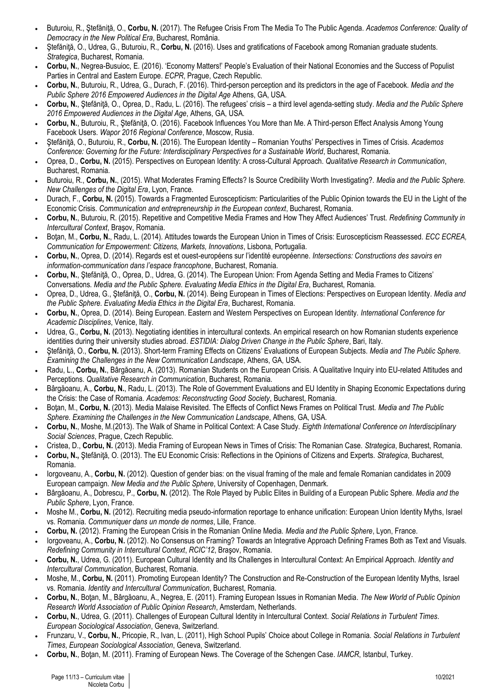- Buturoiu, R., Stefănită, O., Corbu, N. (2017). The Refugee Crisis From The Media To The Public Agenda. *Academos Conference: Quality of Democracy in the New Political Era*, Bucharest, România.
- Ştefăniţă, O., Udrea, G., Buturoiu, R., **Corbu, N.** (2016). Uses and gratifications of Facebook among Romanian graduate students. *Strategica*, Bucharest, Romania.
- **Corbu, N.**, Negrea-Busuioc, E. (2016). 'Economy Matters!' People's Evaluation of their National Economies and the Success of Populist Parties in Central and Eastern Europe. *ECPR*, Prague, Czech Republic.
- **Corbu, N.**, Buturoiu, R., Udrea, G., Durach, F. (2016). Third-person perception and its predictors in the age of Facebook. *Media and the Public Sphere 2016 Empowered Audiences in the Digital Age* Athens, GA, USA.
- **Corbu, N.**, Ştefăniţă, O., Oprea, D., Radu, L. (2016). The refugees' crisis a third level agenda-setting study. *Media and the Public Sphere 2016 Empowered Audiences in the Digital Age*, Athens, GA, USA.
- Corbu, N., Buturoiu, R., Stefănită, O. (2016). Facebook Influences You More than Me. A Third-person Effect Analysis Among Young Facebook Users. *Wapor 2016 Regional Conference*, Moscow, Rusia.
- Ştefăniţă, O., Buturoiu, R., **Corbu, N.** (2016). The European Identity Romanian Youths' Perspectives in Times of Crisis. *Academos Conference: Governing for the Future: Interdisciplinary Perspectives for a Sustainable World*, Bucharest, Romania.
- Oprea, D., **Corbu, N.** (2015). Perspectives on European Identity: A cross-Cultural Approach. *Qualitative Research in Communication*, Bucharest, Romania.
- Buturoiu, R., **Corbu, N.**, (2015). What Moderates Framing Effects? Is Source Credibility Worth Investigating?. *Media and the Public Sphere. New Challenges of the Digital Era*, Lyon, France.
- Durach, F., **Corbu, N.** (2015). Towards a Fragmented Euroscepticism: Particularities of the Public Opinion towards the EU in the Light of the Economic Crisis. *Communication and entrepreneurship in the European context*, Bucharest, Romania.
- **Corbu, N.**, Buturoiu, R. (2015). Repetitive and Competitive Media Frames and How They Affect Audiences' Trust. *Redefining Community in Intercultural Context*, Braşov, Romania.
- Botan, M., Corbu, N., Radu, L. (2014). Attitudes towards the European Union in Times of Crisis: Euroscepticism Reassessed. *ECC ECREA*, *Communication for Empowerment: Citizens, Markets, Innovations*, Lisbona, Portugalia.
- **Corbu, N.**, Oprea, D. (2014). Regards est et ouest-européens sur l'identité européenne. *Intersections: Constructions des savoirs en information-communication dans l'espace francophone*, Bucharest, Romania.
- **Corbu, N.**, Ştefăniţă, O., Oprea, D., Udrea, G. (2014). The European Union: From Agenda Setting and Media Frames to Citizens' Conversations*. Media and the Public Sphere. Evaluating Media Ethics in the Digital Era*, Bucharest, Romania.
- Oprea, D., Udrea, G., Ştefăniţă, O., **Corbu, N.** (2014). Being European in Times of Elections: Perspectives on European Identity. *Media and the Public Sphere. Evaluating Media Ethics in the Digital Era*, Bucharest, Romania.
- **Corbu, N.**, Oprea, D. (2014). Being European. Eastern and Western Perspectives on European Identity. *International Conference for Academic Disciplines*, Venice, Italy.
- Udrea, G., **Corbu, N.** (2013). Negotiating identities in intercultural contexts. An empirical research on how Romanian students experience identities during their university studies abroad. *ESTIDIA: Dialog Driven Change in the Public Sphere*, Bari, Italy.
- Ştefăniţă, O., **Corbu, N.** (2013). Short-term Framing Effects on Citizens' Evaluations of European Subjects. *Media and The Public Sphere. Examining the Challenges in the New Communication Landscape*, Athens, GA, USA.
- Radu, L., **Corbu, N.**, Bârgăoanu, A. (2013). Romanian Students on the European Crisis. A Qualitative Inquiry into EU-related Attitudes and Perceptions. *Qualitative Research in Communication*, Bucharest, Romania.
- Bârgăoanu, A., **Corbu, N.**, Radu, L. (2013). The Role of Government Evaluations and EU Identity in Shaping Economic Expectations during the Crisis: the Case of Romania. *Academos: Reconstructing Good Society*, Bucharest, Romania.
- Boţan, M., **Corbu, N.** (2013). Media Malaise Revisited. The Effects of Conflict News Frames on Political Trust. *Media and The Public Sphere. Examining the Challenges in the New Communication Landscape*, Athens, GA, USA.
- **Corbu, N.**, Moshe, M.(2013). The Walk of Shame in Political Context: A Case Study. *Eighth International Conference on Interdisciplinary Social Sciences*, Prague, Czech Republic.
- Cristea, D., **Corbu, N.** (2013). Media Framing of European News in Times of Crisis: The Romanian Case. *Strategica*, Bucharest, Romania.
- **Corbu, N.,** Ştefăniţă, O. (2013). The EU Economic Crisis: Reflections in the Opinions of Citizens and Experts. *Strategica*, Bucharest, Romania.
- Iorgoveanu, A., **Corbu, N.** (2012). Question of gender bias: on the visual framing of the male and female Romanian candidates in 2009 European campaign. *New Media and the Public Sphere*, University of Copenhagen, Denmark.
- Bârgăoanu, A., Dobrescu, P., **Corbu, N.** (2012). The Role Played by Public Elites in Building of a European Public Sphere. *Media and the Public Sphere*, Lyon, France.
- Moshe M., **Corbu, N.** (2012). Recruiting media pseudo-information reportage to enhance unification: European Union Identity Myths, Israel vs. Romania. *Communiquer dans un monde de normes*, Lille, France.
- **Corbu, N.** (2012). Framing the European Crisis in the Romanian Online Media. *Media and the Public Sphere*, Lyon, France.
- Iorgoveanu, A., **Corbu, N.** (2012). No Consensus on Framing? Towards an Integrative Approach Defining Frames Both as Text and Visuals. *Redefining Community in Intercultural Context*, *RCIC'12*, Braşov, Romania.
- **Corbu, N.**, Udrea, G. (2011). European Cultural Identity and Its Challenges in Intercultural Context: An Empirical Approach. *Identity and Intercultural Communication*, Bucharest, Romania.
- Moshe, M., **Corbu, N.** (2011). Promoting European Identity? The Construction and Re-Construction of the European Identity Myths, Israel vs. Romania. *Identity and Intercultural Communication*, Bucharest, Romania.
- **Corbu, N.**, Boţan, M., Bârgăoanu, A., Negrea, E. (2011). Framing European Issues in Romanian Media. *The New World of Public Opinion Research World Association of Public Opinion Research*, Amsterdam, Netherlands.
- **Corbu, N.**, Udrea, G. (2011). Challenges of European Cultural Identity in Intercultural Context. *Social Relations in Turbulent Times*. *European Sociological Association*, Geneva, Switzerland.
- Frunzaru, V., **Corbu, N.**, Pricopie, R., Ivan, L. (2011), High School Pupils' Choice about College in Romania. *Social Relations in Turbulent Times*, *European Sociological Association*, Geneva, Switzerland.
- **Corbu, N.**, Boţan, M. (2011). Framing of European News. The Coverage of the Schengen Case. *IAMCR*, Istanbul, Turkey.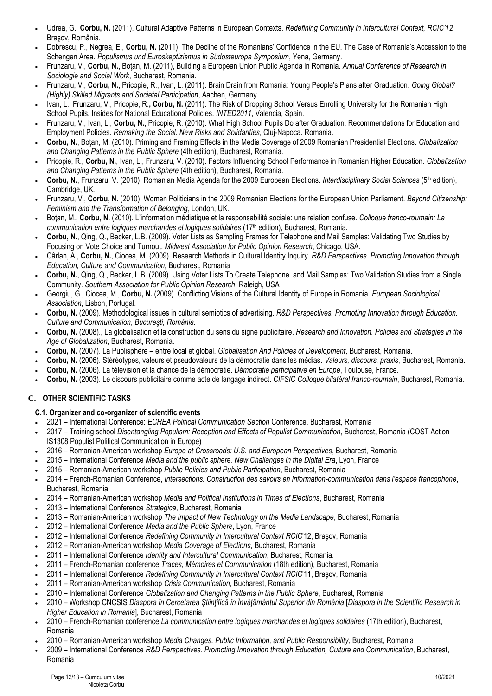- Udrea, G., **Corbu, N.** (2011). Cultural Adaptive Patterns in European Contexts. *Redefining Community in Intercultural Context, RCIC'12*, Braşov, România.
- Dobrescu, P., Negrea, E., **Corbu, N.** (2011). The Decline of the Romanians' Confidence in the EU. The Case of Romania's Accession to the Schengen Area. *Populismus und Euroskeptizismus in Südosteuropa Symposium*, Yena, Germany.
- Frunzaru, V., **Corbu, N.**, Boţan, M. (2011), Building a European Union Public Agenda in Romania. *Annual Conference of Research in Sociologie and Social Work*, Bucharest, Romania.
- Frunzaru, V., **Corbu, N.**, Pricopie, R., Ivan, L. (2011). Brain Drain from Romania: Young People's Plans after Graduation. *Going Global? (Highly) Skilled Migrants and Societal Participation*, Aachen, Germany.
- Ivan, L., Frunzaru, V., Pricopie, R.**, Corbu, N.** (2011). The Risk of Dropping School Versus Enrolling University for the Romanian High School Pupils. Insides for National Educational Policies. *INTED2011*, Valencia, Spain.
- Frunzaru, V., Ivan, L., **Corbu, N.**, Pricopie, R. (2010). What High School Pupils Do after Graduation. Recommendations for Education and Employment Policies. *Remaking the Social. New Risks and Solidarities*, Cluj-Napoca. Romania.
- **Corbu, N.**, Boţan, M. (2010). Priming and Framing Effects in the Media Coverage of 2009 Romanian Presidential Elections. *Globalization and Changing Patterns in the Public Sphere* (4th edition), Bucharest, Romania.
- Pricopie, R., **Corbu, N.**, Ivan, L., Frunzaru, V. (2010). Factors Influencing School Performance in Romanian Higher Education. *Globalization and Changing Patterns in the Public Sphere* (4th edition), Bucharest, Romania.
- **Corbu, N.**, Frunzaru, V. (2010). Romanian Media Agenda for the 2009 European Elections. *Interdisciplinary Social Sciences* (5th edition), Cambridge, UK*.*
- Frunzaru, V., **Corbu, N.** (2010). Women Politicians in the 2009 Romanian Elections for the European Union Parliament. *Beyond Citizenship: Feminism and the Transformation of Belonging*, London, UK.
- Botan, M., Corbu, N. (2010). L'information médiatique et la responsabilité sociale: une relation confuse. *Colloque franco-roumain: La communication entre logiques marchandes et logiques solidaires* (17th edition), Bucharest, Romania.
- **Corbu, N.**, Qing, Q., Becker, L.B. (2009). Voter Lists as Sampling Frames for Telephone and Mail Samples: Validating Two Studies by Focusing on Vote Choice and Turnout. *Midwest Association for Public Opinion Research*, Chicago, USA.
- Cârlan, A., **Corbu, N.**, Ciocea, M. (2009). Research Methods in Cultural Identity Inquiry. *R&D Perspectives. Promoting Innovation through Education, Culture and Communication,* Bucharest, Romania
- **Corbu, N.**, Qing, Q., Becker, L.B. (2009). Using Voter Lists To Create Telephone and Mail Samples: Two Validation Studies from a Single Community. *Southern Association for Public Opinion Research*, Raleigh, USA
- Georgiu, G., Ciocea, M., **Corbu, N.** (2009). Conflicting Visions of the Cultural Identity of Europe in Romania. *European Sociological Association*, Lisbon, Portugal.
- **Corbu, N.** (2009). Methodological issues in cultural semiotics of advertising. *R&D Perspectives. Promoting Innovation through Education, Culture and Communication*, *Bucureşti, România.*
- **Corbu, N.** (2008)., La globalisation et la construction du sens du signe publicitaire. *Research and Innovation. Policies and Strategies in the Age of Globalization*, Bucharest, Romania.
- **Corbu, N.** (2007). La Publisphère entre local et global. *Globalisation And Policies of Development*, Bucharest, Romania.
- **Corbu, N.** (2006). Stéréotypes, valeurs et pseudovaleurs de la démocratie dans les médias. *Valeurs, discours, praxis*, Bucharest, Romania.
- **Corbu, N.** (2006). La télévision et la chance de la démocratie. *Démocratie participative en Europe*, Toulouse, France.
- **Corbu, N.** (2003). Le discours publicitaire comme acte de langage indirect. *CIFSIC Colloque bilatéral franco-roumain*, Bucharest, Romania.

## **C. OTHER SCIENTIFIC TASKS**

## **C.1. Organizer and co-organizer of scientific events**

- 2021 International Conference: *ECREA Political Communication Section* Conference, Bucharest, Romania
- 2017 Training school *Disentangling Populism: Reception and Effects of Populist Communication*, Bucharest, Romania (COST Action IS1308 Populist Political Communication in Europe)
- 2016 Romanian-American workshop *Europe at Crossroads: U.S. and European Perspectives*, Bucharest, Romania
- 2015 International Conference *Media and the public sphere. New Challanges in the Digital Era*, Lyon, France
- 2015 Romanian-American workshop *Public Policies and Public Participation*, Bucharest, Romania
- 2014 French-Romanian Conference, *Intersections: Construction des savoirs en information-communication dans l'espace francophone*, Bucharest, Romania
- 2014 Romanian-American workshop *Media and Political Institutions in Times of Elections*, Bucharest, Romania
- 2013 International Conference *Strategica*, Bucharest, Romania
- 2013 Romanian-American workshop *The Impact of New Technology on the Media Landscape*, Bucharest, Romania
- 2012 International Conference *Media and the Public Sphere*, Lyon, France
- 2012 International Conference *Redefining Community in Intercultural Context RCIC*'12, Braşov, Romania
- 2012 Romanian-American workshop *Media Coverage of Elections*, Bucharest, Romania
- 2011 International Conference *Identity and Intercultural Communication*, Bucharest, Romania.
- 2011 French-Romanian conference *Traces, Mémoires et Communication* (18th edition), Bucharest, Romania
- 2011 International Conference *Redefining Community in Intercultural Context RCIC*'11, Braşov, Romania
- 2011 Romanian-American workshop *Crisis Communication*, Bucharest, Romania
- 2010 International Conference *Globalization and Changing Patterns in the Public Sphere*, Bucharest, Romania
- 2010 Workshop CNCSIS *Diaspora în Cercetarea Ştiinţifică în Învăţământul Superior din România* [*Diaspora in the Scientific Research in Higher Education in Romania*], Bucharest, Romania
- 2010 French-Romanian conference *La communication entre logiques marchandes et logiques solidaires* (17th edition), Bucharest, Romania
- 2010 Romanian-American workshop *Media Changes, Public Information, and Public Responsibility*, Bucharest, Romania
- 2009 International Conference *R&D Perspectives. Promoting Innovation through Education, Culture and Communication*, Bucharest, Romania